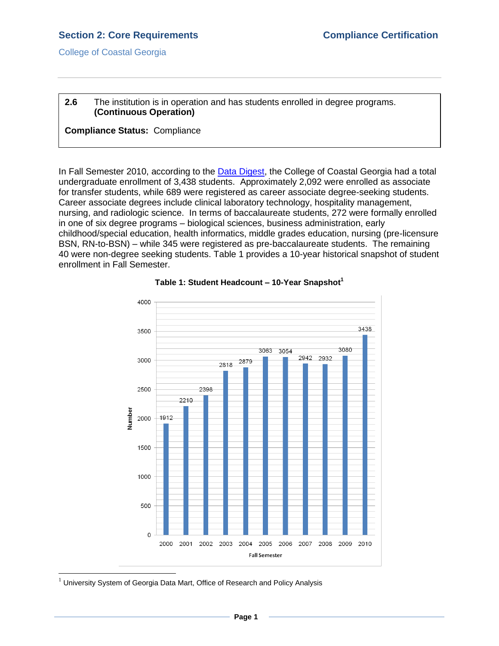College of Coastal Georgia

### **2.6** The institution is in operation and has students enrolled in degree programs. **(Continuous Operation)**

### **Compliance Status:** Compliance

In Fall Semester 2010, according to the [Data Digest,](2.5.bCCGAf10datadigest.pdf#page=1) the College of Coastal Georgia had a total undergraduate enrollment of 3,438 students. Approximately 2,092 were enrolled as associate for transfer students, while 689 were registered as career associate degree-seeking students. Career associate degrees include clinical laboratory technology, hospitality management, nursing, and radiologic science. In terms of baccalaureate students, 272 were formally enrolled in one of six degree programs – biological sciences, business administration, early childhood/special education, health informatics, middle grades education, nursing (pre-licensure BSN, RN-to-BSN) – while 345 were registered as pre-baccalaureate students. The remaining 40 were non-degree seeking students. Table 1 provides a 10-year historical snapshot of student enrollment in Fall Semester.



#### **Table 1: Student Headcount – 10-Year Snapshot<sup>1</sup>**

 $\overline{a}$ 

 $1$  University System of Georgia Data Mart, Office of Research and Policy Analysis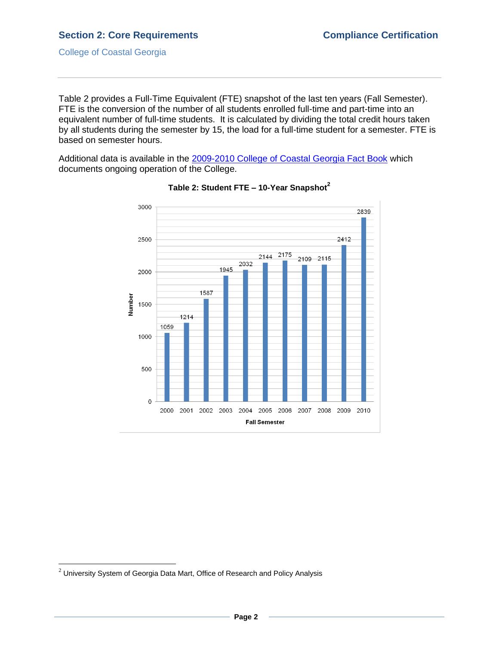### **Section 2: Core Requirements Compliance Certification**

College of Coastal Georgia

Table 2 provides a Full-Time Equivalent (FTE) snapshot of the last ten years (Fall Semester). FTE is the conversion of the number of all students enrolled full-time and part-time into an equivalent number of full-time students. It is calculated by dividing the total credit hours taken by all students during the semester by 15, the load for a full-time student for a semester. FTE is based on semester hours.

Additional data is available in the [2009-2010 College of Coastal Georgia Fact Book](CCGAfactbook.pdf#page=1) which documents ongoing operation of the College.



### **Table 2: Student FTE – 10-Year Snapshot<sup>2</sup>**

 $\overline{a}$ 

 $^2$  University System of Georgia Data Mart, Office of Research and Policy Analysis